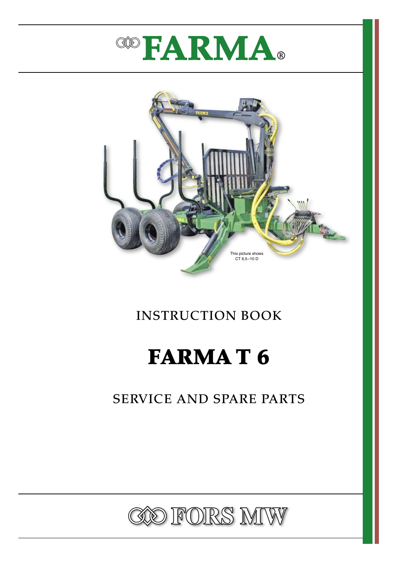



# INSTRUCTION BOOK

# FARMA T 6

# SERVICE AND SPARE PARTS

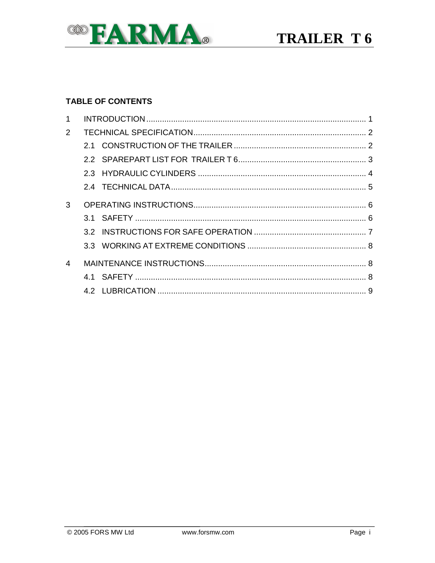



#### **TABLE OF CONTENTS**

| $\overline{2}$ |  |  |  |  |
|----------------|--|--|--|--|
|                |  |  |  |  |
|                |  |  |  |  |
|                |  |  |  |  |
|                |  |  |  |  |
| 3              |  |  |  |  |
|                |  |  |  |  |
|                |  |  |  |  |
|                |  |  |  |  |
| 4              |  |  |  |  |
|                |  |  |  |  |
|                |  |  |  |  |
|                |  |  |  |  |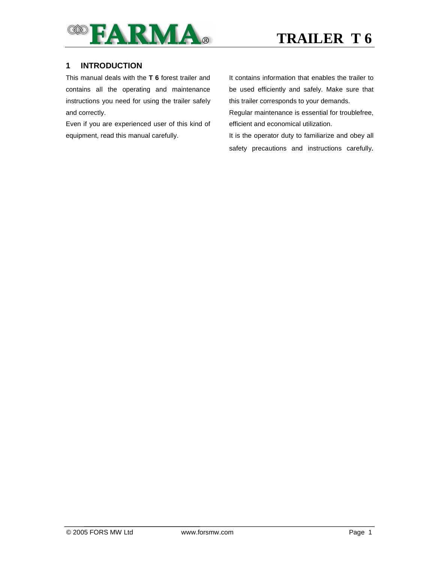

#### **1 INTRODUCTION**

This manual deals with the **T 6** forest trailer and contains all the operating and maintenance instructions you need for using the trailer safely and correctly.

Even if you are experienced user of this kind of equipment, read this manual carefully.

It contains information that enables the trailer to be used efficiently and safely. Make sure that this trailer corresponds to your demands.

Regular maintenance is essential for troublefree, efficient and economical utilization.

It is the operator duty to familiarize and obey all safety precautions and instructions carefully.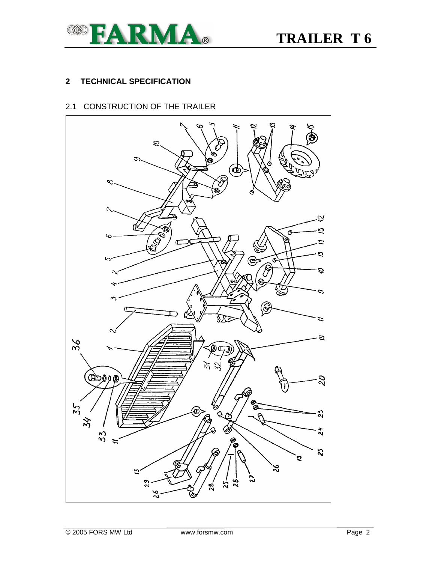

#### **2 TECHNICAL SPECIFICATION**

#### 2.1 CONSTRUCTION OF THE TRAILER

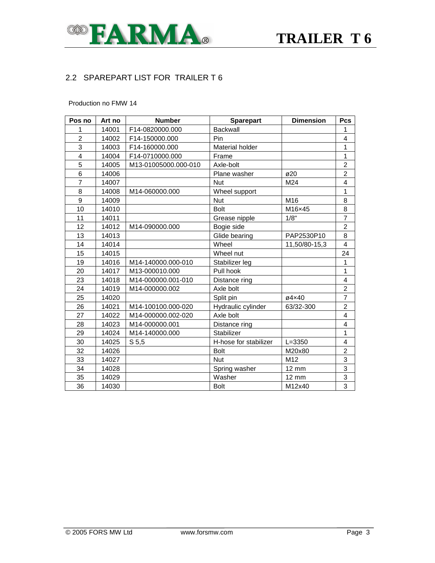

**TRAILER T 6**

#### 2.2 SPAREPART LIST FOR TRAILER T 6

Production no FMW 14

| Pos no         | Art no | <b>Number</b>        | <b>Sparepart</b>      | <b>Dimension</b>  | <b>Pcs</b>              |
|----------------|--------|----------------------|-----------------------|-------------------|-------------------------|
| 1              | 14001  | F14-0820000.000      | <b>Backwall</b>       |                   | 1                       |
| $\overline{c}$ | 14002  | F14-150000.000       | Pin                   |                   | 4                       |
| 3              | 14003  | F14-160000.000       | Material holder       |                   | 1                       |
| 4              | 14004  | F14-0710000.000      | Frame                 |                   | 1                       |
| 5              | 14005  | M13-01005000.000-010 | Axle-bolt             |                   | $\overline{2}$          |
| 6              | 14006  |                      | Plane washer          | ø20               | $\overline{2}$          |
| $\overline{7}$ | 14007  |                      | <b>Nut</b>            | M24               | 4                       |
| 8              | 14008  | M14-060000.000       | Wheel support         |                   | 1                       |
| 9              | 14009  |                      | Nut                   | M16               | 8                       |
| 10             | 14010  |                      | <b>Bolt</b>           | M16×45            | 8                       |
| 11             | 14011  |                      | Grease nipple         | 1/8"              | $\overline{7}$          |
| 12             | 14012  | M14-090000.000       | Bogie side            |                   | $\overline{2}$          |
| 13             | 14013  |                      | Glide bearing         | PAP2530P10        | 8                       |
| 14             | 14014  |                      | Wheel                 | 11,50/80-15,3     | $\overline{4}$          |
| 15             | 14015  |                      | Wheel nut             |                   | 24                      |
| 19             | 14016  | M14-140000.000-010   | Stabilizer leg        |                   | 1                       |
| 20             | 14017  | M13-000010.000       | Pull hook             |                   | 1                       |
| 23             | 14018  | M14-000000.001-010   | Distance ring         |                   | $\overline{\mathbf{4}}$ |
| 24             | 14019  | M14-000000.002       | Axle bolt             |                   | $\overline{2}$          |
| 25             | 14020  |                      | Split pin             | $\varphi$ 4x40    | $\overline{7}$          |
| 26             | 14021  | M14-100100.000-020   | Hydraulic cylinder    | 63/32-300         | $\overline{2}$          |
| 27             | 14022  | M14-000000.002-020   | Axle bolt             |                   | $\overline{4}$          |
| 28             | 14023  | M14-000000.001       | Distance ring         |                   | $\overline{4}$          |
| 29             | 14024  | M14-140000.000       | Stabilizer            |                   | 1                       |
| 30             | 14025  | S <sub>5,5</sub>     | H-hose for stabilizer | $L = 3350$        | $\overline{\mathbf{4}}$ |
| 32             | 14026  |                      | <b>Bolt</b>           | M20x80            | $\overline{c}$          |
| 33             | 14027  |                      | Nut                   | M <sub>12</sub>   | $\overline{3}$          |
| 34             | 14028  |                      | Spring washer         | 12 mm             | $\overline{3}$          |
| 35             | 14029  |                      | Washer                | $12 \, \text{mm}$ | $\overline{3}$          |
| 36             | 14030  |                      | <b>Bolt</b>           | M12x40            | $\overline{3}$          |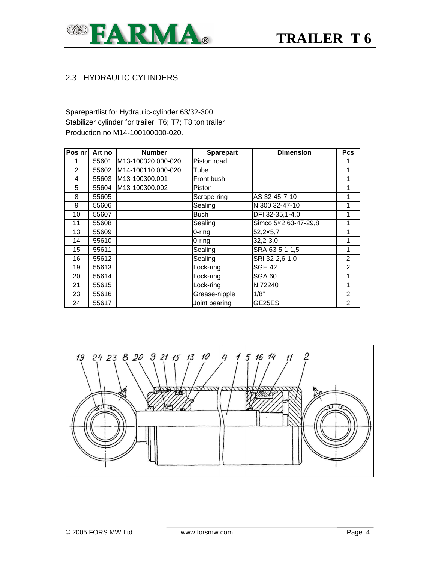

#### 2.3 HYDRAULIC CYLINDERS

Sparepartlist for Hydraulic-cylinder 63/32-300 Stabilizer cylinder for trailer T6; T7; T8 ton trailer Production no M14-100100000-020.

| Pos nr | Art no | <b>Number</b>      | <b>Sparepart</b> | <b>Dimension</b>     | <b>Pcs</b>     |
|--------|--------|--------------------|------------------|----------------------|----------------|
|        | 55601  | M13-100320.000-020 | Piston road      |                      | 1              |
| 2      | 55602  | M14-100110.000-020 | Tube             |                      | 1              |
| 4      | 55603  | M13-100300.001     | Front bush       |                      | 1              |
| 5      | 55604  | M13-100300.002     | Piston           |                      | 1              |
| 8      | 55605  |                    | Scrape-ring      | AS 32-45-7-10        | 1              |
| 9      | 55606  |                    | Sealing          | NI300 32-47-10       | 1              |
| 10     | 55607  |                    | <b>Buch</b>      | DFI 32-35,1-4,0      | 1              |
| 11     | 55608  |                    | Sealing          | Simco 5x2 63-47-29,8 | 1              |
| 13     | 55609  |                    | $0$ -ring        | $52,2\times5,7$      | 1              |
| 14     | 55610  |                    | 0-ring           | 32,2-3,0             | 1              |
| 15     | 55611  |                    | Sealing          | SRA 63-5,1-1,5       | 1              |
| 16     | 55612  |                    | Sealing          | SRI 32-2,6-1,0       | 2              |
| 19     | 55613  |                    | Lock-ring        | <b>SGH 42</b>        | 2              |
| 20     | 55614  |                    | Lock-ring        | SGA 60               | 1              |
| 21     | 55615  |                    | Lock-ring        | N 72240              | 1              |
| 23     | 55616  |                    | Grease-nipple    | 1/8"                 | $\overline{2}$ |
| 24     | 55617  |                    | Joint bearing    | GE25ES               | $\overline{2}$ |

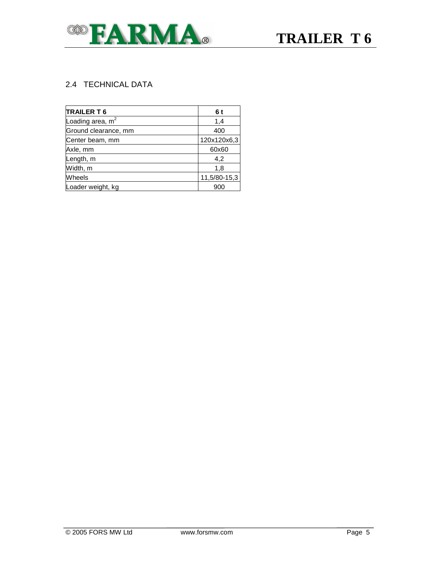

#### 2.4 TECHNICAL DATA

| TRAILER T 6          | 6 t          |  |  |
|----------------------|--------------|--|--|
| Loading area, $m2$   | 1,4          |  |  |
| Ground clearance, mm | 400          |  |  |
| Center beam, mm      | 120x120x6,3  |  |  |
| Axle, mm             | 60x60        |  |  |
| Length, m            | 4,2          |  |  |
| Width, m             | 1,8          |  |  |
| Wheels               | 11,5/80-15,3 |  |  |
| Loader weight, kg    | 900          |  |  |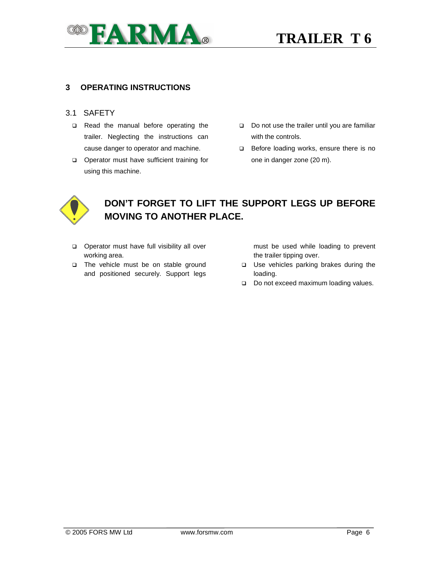

# **TRAILER T 6**

#### **3 OPERATING INSTRUCTIONS**

#### 3.1 SAFETY

- Read the manual before operating the trailer. Neglecting the instructions can cause danger to operator and machine.
- **Q** Operator must have sufficient training for using this machine.
- Do not use the trailer until you are familiar with the controls.
- Before loading works, ensure there is no one in danger zone (20 m).



### **DON'T FORGET TO LIFT THE SUPPORT LEGS UP BEFORE MOVING TO ANOTHER PLACE.**

- **D** Operator must have full visibility all over working area.
- □ The vehicle must be on stable ground and positioned securely. Support legs

must be used while loading to prevent the trailer tipping over.

- Use vehicles parking brakes during the loading.
- Do not exceed maximum loading values.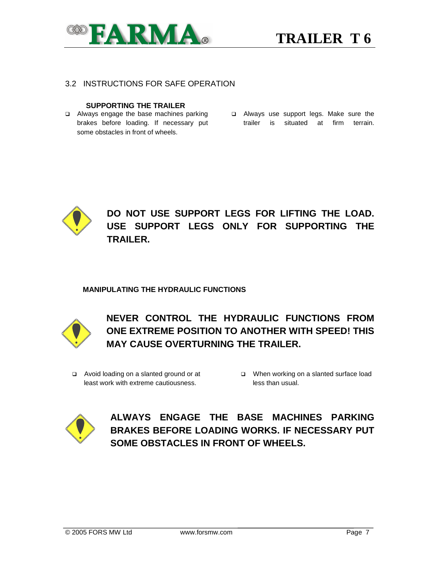

**TRAILER T 6**

#### 3.2 INSTRUCTIONS FOR SAFE OPERATION

#### **SUPPORTING THE TRAILER**

- Always engage the base machines parking brakes before loading. If necessary put some obstacles in front of wheels.
	- Always use support legs. Make sure the trailer is situated at firm terrain.



### **DO NOT USE SUPPORT LEGS FOR LIFTING THE LOAD. USE SUPPORT LEGS ONLY FOR SUPPORTING THE TRAILER.**

#### **MANIPULATING THE HYDRAULIC FUNCTIONS**



**NEVER CONTROL THE HYDRAULIC FUNCTIONS FROM ONE EXTREME POSITION TO ANOTHER WITH SPEED! THIS MAY CAUSE OVERTURNING THE TRAILER.** 

- Avoid loading on a slanted ground or at least work with extreme cautiousness.
- □ When working on a slanted surface load less than usual.



**ALWAYS ENGAGE THE BASE MACHINES PARKING BRAKES BEFORE LOADING WORKS. IF NECESSARY PUT SOME OBSTACLES IN FRONT OF WHEELS.**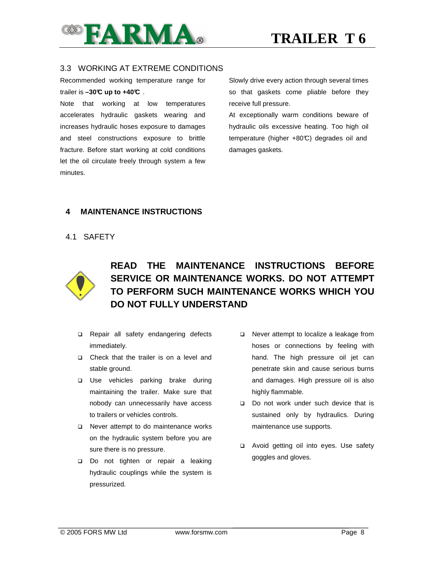

#### 3.3 WORKING AT EXTREME CONDITIONS

Recommended working temperature range for trailer is **–30°C up to +40°C** .

Note that working at low temperatures accelerates hydraulic gaskets wearing and increases hydraulic hoses exposure to damages and steel constructions exposure to brittle fracture. Before start working at cold conditions let the oil circulate freely through system a few minutes.

Slowly drive every action through several times so that gaskets come pliable before they receive full pressure.

At exceptionally warm conditions beware of hydraulic oils excessive heating. Too high oil temperature (higher +80°C) degrades oil and damages gaskets.

#### **4 MAINTENANCE INSTRUCTIONS**

4.1 SAFETY



### **READ THE MAINTENANCE INSTRUCTIONS BEFORE SERVICE OR MAINTENANCE WORKS. DO NOT ATTEMPT TO PERFORM SUCH MAINTENANCE WORKS WHICH YOU DO NOT FULLY UNDERSTAND**

- Repair all safety endangering defects immediately.
- □ Check that the trailer is on a level and stable ground.
- □ Use vehicles parking brake during maintaining the trailer. Make sure that nobody can unnecessarily have access to trailers or vehicles controls.
- □ Never attempt to do maintenance works on the hydraulic system before you are sure there is no pressure.
- Do not tighten or repair a leaking hydraulic couplings while the system is pressurized.
- □ Never attempt to localize a leakage from hoses or connections by feeling with hand. The high pressure oil jet can penetrate skin and cause serious burns and damages. High pressure oil is also highly flammable.
- Do not work under such device that is sustained only by hydraulics. During maintenance use supports.
- □ Avoid getting oil into eyes. Use safety goggles and gloves.